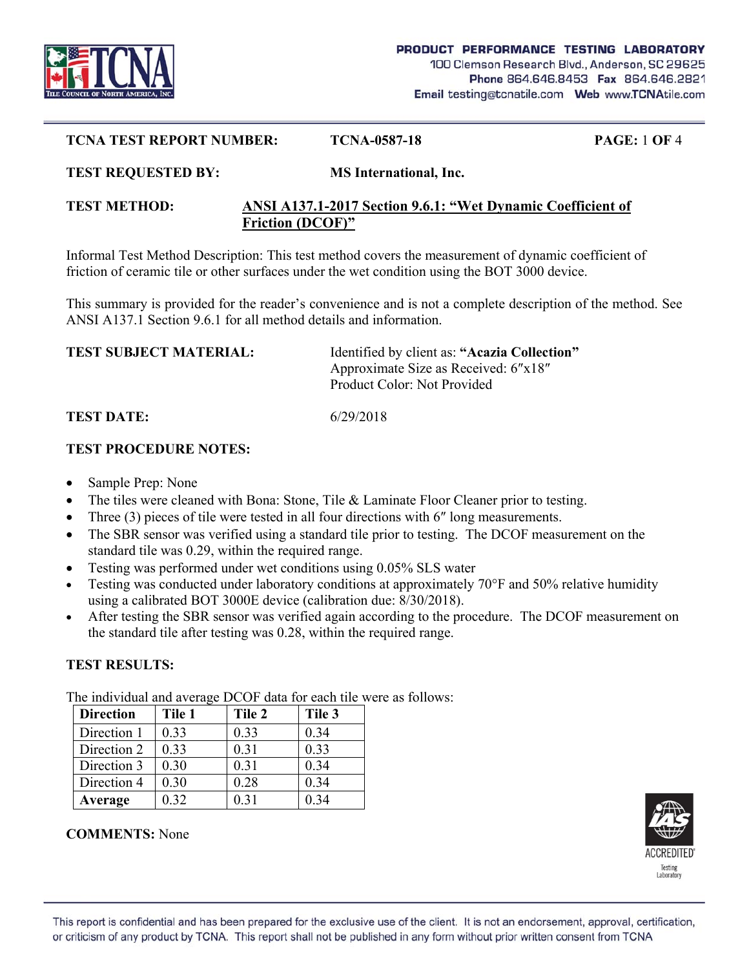

#### **TCNA TEST REPORT NUMBER: TCNA-0587-18 PAGE:** 1 **OF** 4

#### **TEST REQUESTED BY: MS International, Inc.**

#### **TEST METHOD: ANSI A137.1-2017 Section 9.6.1: "Wet Dynamic Coefficient of Friction (DCOF)"**

Informal Test Method Description: This test method covers the measurement of dynamic coefficient of friction of ceramic tile or other surfaces under the wet condition using the BOT 3000 device.

This summary is provided for the reader's convenience and is not a complete description of the method. See ANSI A137.1 Section 9.6.1 for all method details and information.

| <b>TEST SUBJECT MATERIAL:</b> | Identified by client as: "Acazia Collection" |
|-------------------------------|----------------------------------------------|
|                               | Approximate Size as Received: 6"x18"         |
|                               | Product Color: Not Provided                  |
|                               |                                              |

## **TEST DATE:** 6/29/2018

#### **TEST PROCEDURE NOTES:**

- Sample Prep: None
- The tiles were cleaned with Bona: Stone, Tile & Laminate Floor Cleaner prior to testing.
- Three (3) pieces of tile were tested in all four directions with 6" long measurements.
- The SBR sensor was verified using a standard tile prior to testing. The DCOF measurement on the standard tile was 0.29, within the required range.
- Testing was performed under wet conditions using 0.05% SLS water
- Testing was conducted under laboratory conditions at approximately 70°F and 50% relative humidity using a calibrated BOT 3000E device (calibration due: 8/30/2018).
- After testing the SBR sensor was verified again according to the procedure. The DCOF measurement on the standard tile after testing was 0.28, within the required range.

## **TEST RESULTS:**

The individual and average DCOF data for each tile were as follows:

| <b>Direction</b> | Tile 1 | Tile 2 | Tile 3 |
|------------------|--------|--------|--------|
| Direction 1      | 0.33   | 0.33   | 0.34   |
| Direction 2      | 0.33   | 0.31   | 0.33   |
| Direction 3      | 0.30   | 0.31   | 0.34   |
| Direction 4      | 0.30   | 0.28   | 0.34   |
| Average          | 0.32   | 0.31   | 0.34   |

## **COMMENTS:** None

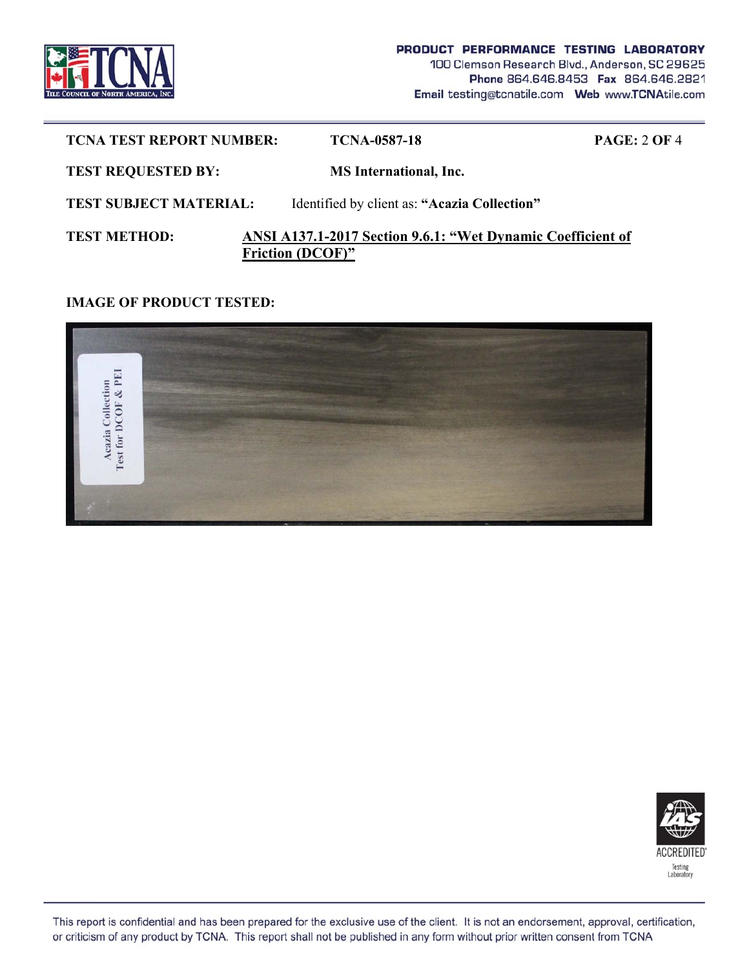

| <b>TCNA TEST REPORT NUMBER:</b> | TCNA-0587-18                                                                           | PAGE: 2 OF 4 |
|---------------------------------|----------------------------------------------------------------------------------------|--------------|
| <b>TEST REQUESTED BY:</b>       | <b>MS</b> International, Inc.                                                          |              |
| <b>TEST SUBJECT MATERIAL:</b>   | Identified by client as: "Acazia Collection"                                           |              |
| <b>TEST METHOD:</b>             | ANSI A137.1-2017 Section 9.6.1: "Wet Dynamic Coefficient of<br><b>Friction (DCOF)"</b> |              |

### **IMAGE OF PRODUCT TESTED:**





This report is confidential and has been prepared for the exclusive use of the client. It is not an endorsement, approval, certification, or criticism of any product by TCNA. This report shall not be published in any form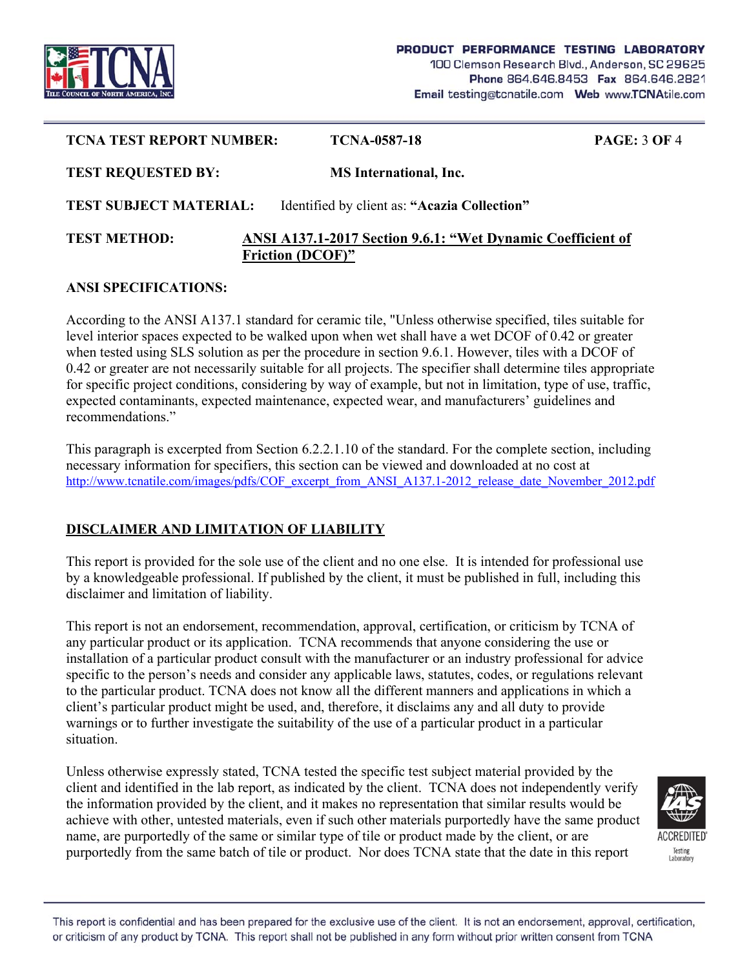

| <b>TCNA TEST REPORT NUMBER:</b> | TCNA-0587-18                                                                           | <b>PAGE: 3 OF 4</b> |
|---------------------------------|----------------------------------------------------------------------------------------|---------------------|
| <b>TEST REQUESTED BY:</b>       | <b>MS</b> International, Inc.                                                          |                     |
| <b>TEST SUBJECT MATERIAL:</b>   | Identified by client as: "Acazia Collection"                                           |                     |
| <b>TEST METHOD:</b>             | ANSI A137.1-2017 Section 9.6.1: "Wet Dynamic Coefficient of<br><b>Friction (DCOF)"</b> |                     |

#### **ANSI SPECIFICATIONS:**

According to the ANSI A137.1 standard for ceramic tile, "Unless otherwise specified, tiles suitable for level interior spaces expected to be walked upon when wet shall have a wet DCOF of 0.42 or greater when tested using SLS solution as per the procedure in section 9.6.1. However, tiles with a DCOF of 0.42 or greater are not necessarily suitable for all projects. The specifier shall determine tiles appropriate for specific project conditions, considering by way of example, but not in limitation, type of use, traffic, expected contaminants, expected maintenance, expected wear, and manufacturers' guidelines and recommendations."

This paragraph is excerpted from Section 6.2.2.1.10 of the standard. For the complete section, including necessary information for specifiers, this section can be viewed and downloaded at no cost at http://www.tcnatile.com/images/pdfs/COF\_excerpt\_from\_ANSI\_A137.1-2012\_release\_date\_November\_2012.pdf

# **DISCLAIMER AND LIMITATION OF LIABILITY**

This report is provided for the sole use of the client and no one else. It is intended for professional use by a knowledgeable professional. If published by the client, it must be published in full, including this disclaimer and limitation of liability.

This report is not an endorsement, recommendation, approval, certification, or criticism by TCNA of any particular product or its application. TCNA recommends that anyone considering the use or installation of a particular product consult with the manufacturer or an industry professional for advice specific to the person's needs and consider any applicable laws, statutes, codes, or regulations relevant to the particular product. TCNA does not know all the different manners and applications in which a client's particular product might be used, and, therefore, it disclaims any and all duty to provide warnings or to further investigate the suitability of the use of a particular product in a particular situation.

Unless otherwise expressly stated, TCNA tested the specific test subject material provided by the client and identified in the lab report, as indicated by the client. TCNA does not independently verify the information provided by the client, and it makes no representation that similar results would be achieve with other, untested materials, even if such other materials purportedly have the same product name, are purportedly of the same or similar type of tile or product made by the client, or are purportedly from the same batch of tile or product. Nor does TCNA state that the date in this report



This report is confidential and has been prepared for the exclusive use of the client. It is not an endorsement, approval, certification, or criticism of any product by TCNA. This report shall not be published in any form without prior written consent from TCNA